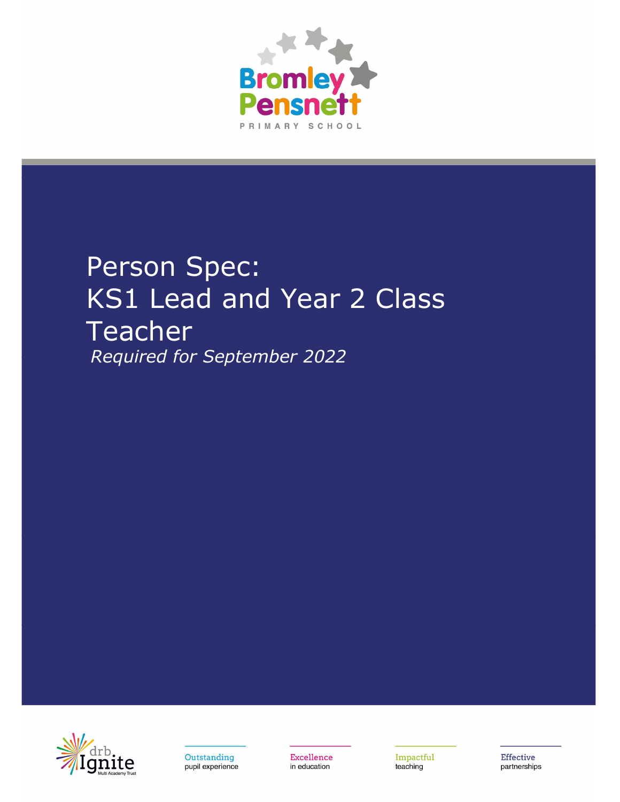

# Person Spec: **KS1 Lead and Year 2 Class Teacher** Required for September 2022



Outstanding pupil experience Excellence in education

Impactful teaching

**Effective** partnerships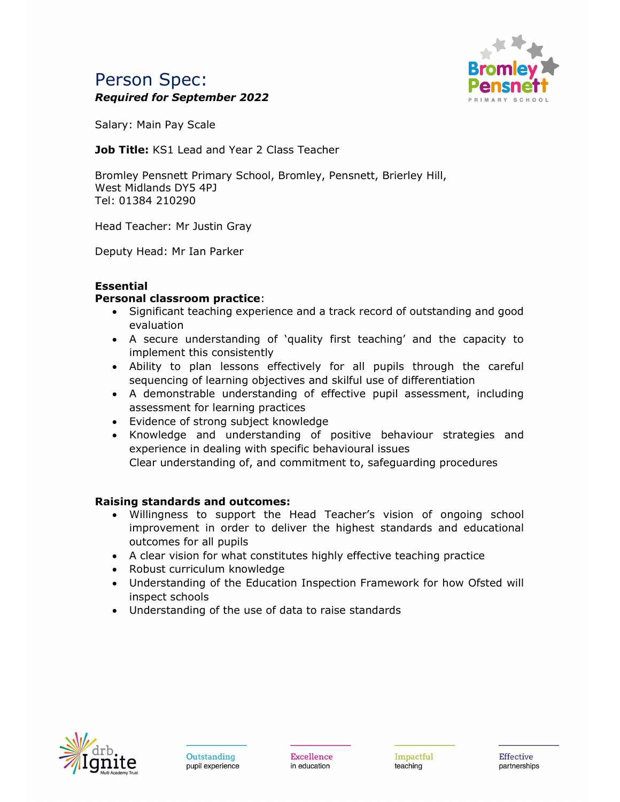## Person Spec: Required for September 2022



Salary: Main Pay Scale

Job Title: KS1 Lead and Year 2 Class Teacher

Bromley Pensnett Primary School, Bromley, Pensnett, Brierley Hill, West Midlands DY5 4PJ Tel: 01384 210290

Head Teacher: Mr Justin Gray

Deputy Head: Mr Ian Parker

### **Essential**

#### Personal classroom practice:

- Significant teaching experience and a track record of outstanding and good evaluation
- A secure understanding of 'quality first teaching' and the capacity to implement this consistently
- Ability to plan lessons effectively for all pupils through the careful sequencing of learning objectives and skilful use of differentiation
- A demonstrable understanding of effective pupil assessment, including assessment for learning practices
- Evidence of strong subject knowledge
- Knowledge and understanding of positive behaviour strategies and experience in dealing with specific behavioural issues Clear understanding of, and commitment to, safeguarding procedures

#### Raising standards and outcomes:

- Willingness to support the Head Teacher's vision of ongoing school improvement in order to deliver the highest standards and educational outcomes for all pupils
- A clear vision for what constitutes highly effective teaching practice
- Robust curriculum knowledge
- Understanding of the Education Inspection Framework for how Ofsted will inspect schools
- Understanding of the use of data to raise standards